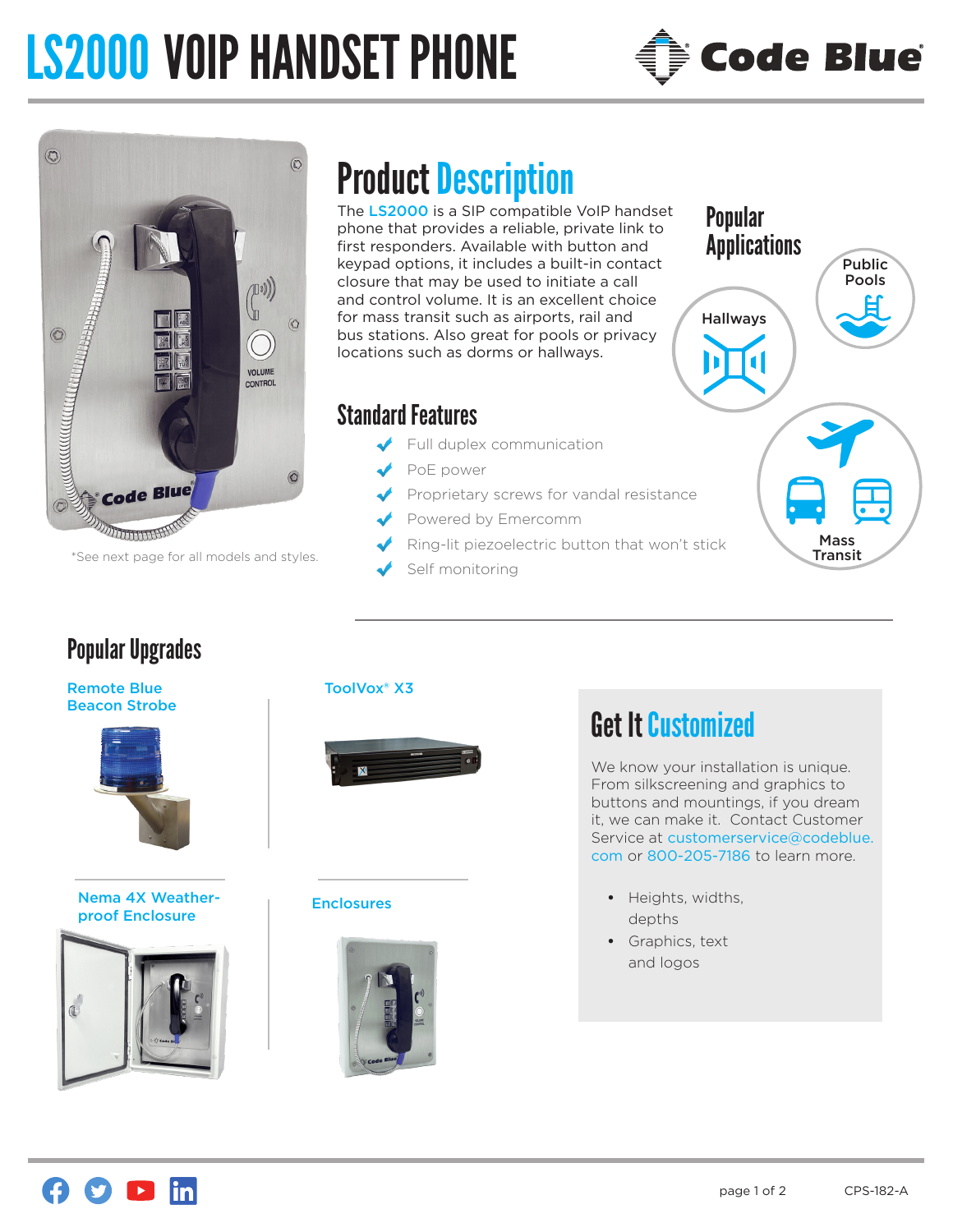# LS2000 VOIP HANDSET PHONE





\*See next page for all models and styles.

## Popular Upgrades

Remote Blue Beacon Strobe



#### Nema 4X Weatherproof Enclosure



# Product Description

The LS2000 is a SIP compatible VoIP handset phone that provides a reliable, private link to first responders. Available with button and keypad options, it includes a built-in contact closure that may be used to initiate a call and control volume. It is an excellent choice for mass transit such as airports, rail and bus stations. Also great for pools or privacy locations such as dorms or hallways.

### Standard Features

- Full duplex communication
- PoE power
- Proprietary screws for vandal resistance
- Powered by Emercomm
	- Ring-lit piezoelectric button that won't stick
- Self monitoring



#### ToolVox® X3



#### Enclosures



# Get It Customized

We know your installation is unique. From silkscreening and graphics to buttons and mountings, if you dream it, we can make it. Contact Customer Service at customerservice@codeblue. com or 800-205-7186 to learn more.

- **•** Heights, widths, depths
- **•** Graphics, text and logos